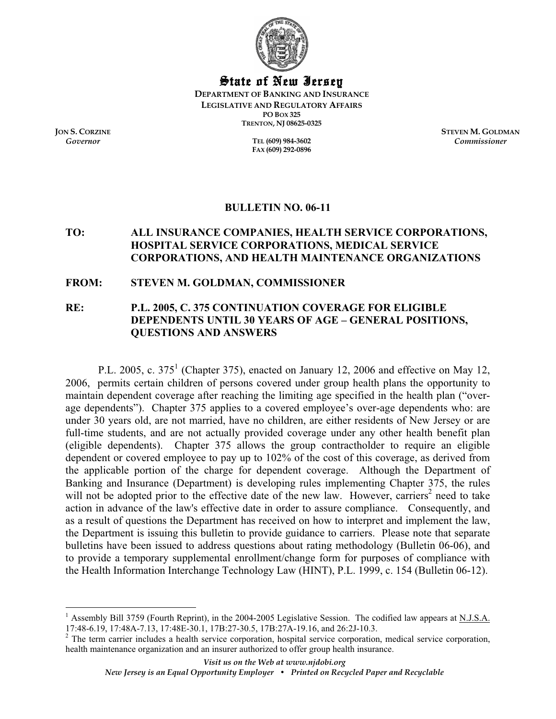

State of New Jersey

**DEPARTMENT OF BANKING AND INSURANCE LEGISLATIVE AND REGULATORY AFFAIRS PO BOX 325 TRENTON, NJ 08625-0325** 

*Governor* **TEL (609) 984-3602 FAX (609) 292-0896** 

**JON S. CORZINE STEVEN M. GOLDMAN** *Commissioner*

# **BULLETIN NO. 06-11**

# **TO: ALL INSURANCE COMPANIES, HEALTH SERVICE CORPORATIONS, HOSPITAL SERVICE CORPORATIONS, MEDICAL SERVICE CORPORATIONS, AND HEALTH MAINTENANCE ORGANIZATIONS**

## **FROM: STEVEN M. GOLDMAN, COMMISSIONER**

# **RE: P.L. 2005, C. 375 CONTINUATION COVERAGE FOR ELIGIBLE DEPENDENTS UNTIL 30 YEARS OF AGE – GENERAL POSITIONS, QUESTIONS AND ANSWERS**

P.L. 2005, c. 375<sup>1</sup> (Chapter 375), enacted on January 12, 2006 and effective on May 12, 2006, permits certain children of persons covered under group health plans the opportunity to maintain dependent coverage after reaching the limiting age specified in the health plan ("overage dependents"). Chapter 375 applies to a covered employee's over-age dependents who: are under 30 years old, are not married, have no children, are either residents of New Jersey or are full-time students, and are not actually provided coverage under any other health benefit plan (eligible dependents). Chapter 375 allows the group contractholder to require an eligible dependent or covered employee to pay up to 102% of the cost of this coverage, as derived from the applicable portion of the charge for dependent coverage. Although the Department of Banking and Insurance (Department) is developing rules implementing Chapter 375, the rules will not be adopted prior to the effective date of the new law. However, carriers<sup>2</sup> need to take action in advance of the law's effective date in order to assure compliance. Consequently, and as a result of questions the Department has received on how to interpret and implement the law, the Department is issuing this bulletin to provide guidance to carriers. Please note that separate bulletins have been issued to address questions about rating methodology (Bulletin 06-06), and to provide a temporary supplemental enrollment/change form for purposes of compliance with the Health Information Interchange Technology Law (HINT), P.L. 1999, c. 154 (Bulletin 06-12).

<sup>1</sup> Assembly Bill 3759 (Fourth Reprint), in the 2004-2005 Legislative Session. The codified law appears at N.J.S.A. 17:48-6.19, 17:48A-7.13, 17:48E-30.1, 17B:27-30.5, 17B:27A-19.16, and 26:2J-10.3.

 $2$  The term carrier includes a health service corporation, hospital service corporation, medical service corporation, health maintenance organization and an insurer authorized to offer group health insurance.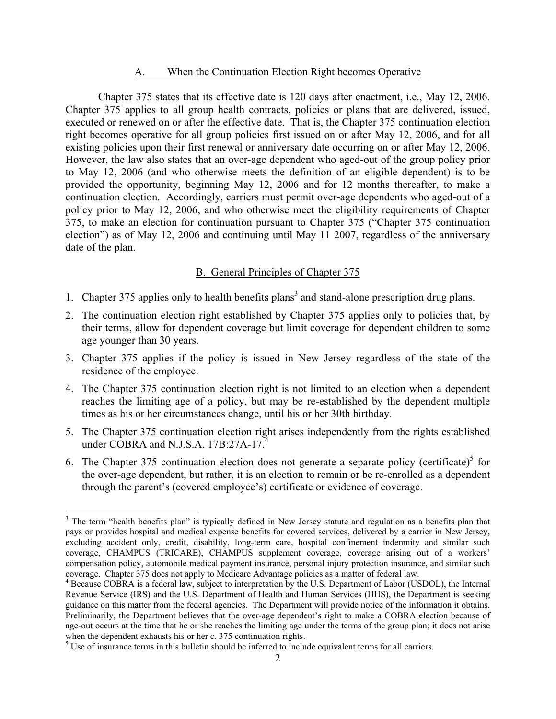#### A. When the Continuation Election Right becomes Operative

 Chapter 375 states that its effective date is 120 days after enactment, i.e., May 12, 2006. Chapter 375 applies to all group health contracts, policies or plans that are delivered, issued, executed or renewed on or after the effective date. That is, the Chapter 375 continuation election right becomes operative for all group policies first issued on or after May 12, 2006, and for all existing policies upon their first renewal or anniversary date occurring on or after May 12, 2006. However, the law also states that an over-age dependent who aged-out of the group policy prior to May 12, 2006 (and who otherwise meets the definition of an eligible dependent) is to be provided the opportunity, beginning May 12, 2006 and for 12 months thereafter, to make a continuation election. Accordingly, carriers must permit over-age dependents who aged-out of a policy prior to May 12, 2006, and who otherwise meet the eligibility requirements of Chapter 375, to make an election for continuation pursuant to Chapter 375 ("Chapter 375 continuation election") as of May 12, 2006 and continuing until May 11 2007, regardless of the anniversary date of the plan.

#### B. General Principles of Chapter 375

- 1. Chapter 375 applies only to health benefits plans<sup>3</sup> and stand-alone prescription drug plans.
- 2. The continuation election right established by Chapter 375 applies only to policies that, by their terms, allow for dependent coverage but limit coverage for dependent children to some age younger than 30 years.
- 3. Chapter 375 applies if the policy is issued in New Jersey regardless of the state of the residence of the employee.
- 4. The Chapter 375 continuation election right is not limited to an election when a dependent reaches the limiting age of a policy, but may be re-established by the dependent multiple times as his or her circumstances change, until his or her 30th birthday.
- 5. The Chapter 375 continuation election right arises independently from the rights established under COBRA and N.J.S.A. 17B:27A-17.<sup>4</sup>
- 6. The Chapter 375 continuation election does not generate a separate policy (certificate)<sup>5</sup> for the over-age dependent, but rather, it is an election to remain or be re-enrolled as a dependent through the parent's (covered employee's) certificate or evidence of coverage.

<sup>&</sup>lt;sup>3</sup> The term "health benefits plan" is typically defined in New Jersey statute and regulation as a benefits plan that pays or provides hospital and medical expense benefits for covered services, delivered by a carrier in New Jersey, excluding accident only, credit, disability, long-term care, hospital confinement indemnity and similar such coverage, CHAMPUS (TRICARE), CHAMPUS supplement coverage, coverage arising out of a workers' compensation policy, automobile medical payment insurance, personal injury protection insurance, and similar such coverage. Chapter 375 does not apply to Medicare Advantage policies as a matter of federal law.

<sup>&</sup>lt;sup>4</sup> Because COBRA is a federal law, subject to interpretation by the U.S. Department of Labor (USDOL), the Internal Revenue Service (IRS) and the U.S. Department of Health and Human Services (HHS), the Department is seeking guidance on this matter from the federal agencies. The Department will provide notice of the information it obtains. Preliminarily, the Department believes that the over-age dependent's right to make a COBRA election because of age-out occurs at the time that he or she reaches the limiting age under the terms of the group plan; it does not arise when the dependent exhausts his or her c. 375 continuation rights.

 $<sup>5</sup>$  Use of insurance terms in this bulletin should be inferred to include equivalent terms for all carriers.</sup>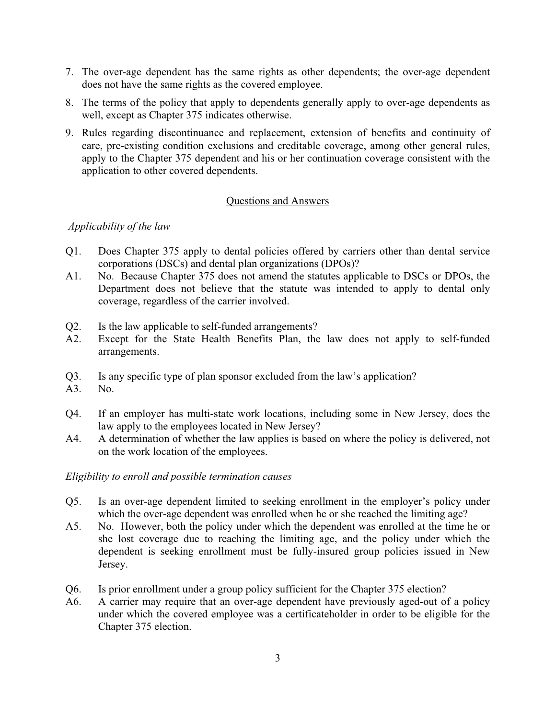- 7. The over-age dependent has the same rights as other dependents; the over-age dependent does not have the same rights as the covered employee.
- 8. The terms of the policy that apply to dependents generally apply to over-age dependents as well, except as Chapter 375 indicates otherwise.
- 9. Rules regarding discontinuance and replacement, extension of benefits and continuity of care, pre-existing condition exclusions and creditable coverage, among other general rules, apply to the Chapter 375 dependent and his or her continuation coverage consistent with the application to other covered dependents.

### Questions and Answers

## *Applicability of the law*

- Q1. Does Chapter 375 apply to dental policies offered by carriers other than dental service corporations (DSCs) and dental plan organizations (DPOs)?
- A1. No. Because Chapter 375 does not amend the statutes applicable to DSCs or DPOs, the Department does not believe that the statute was intended to apply to dental only coverage, regardless of the carrier involved.
- Q2. Is the law applicable to self-funded arrangements?
- A2. Except for the State Health Benefits Plan, the law does not apply to self-funded arrangements.
- Q3. Is any specific type of plan sponsor excluded from the law's application?
- A3. No.
- Q4. If an employer has multi-state work locations, including some in New Jersey, does the law apply to the employees located in New Jersey?
- A4. A determination of whether the law applies is based on where the policy is delivered, not on the work location of the employees.

## *Eligibility to enroll and possible termination causes*

- Q5. Is an over-age dependent limited to seeking enrollment in the employer's policy under which the over-age dependent was enrolled when he or she reached the limiting age?
- A5. No. However, both the policy under which the dependent was enrolled at the time he or she lost coverage due to reaching the limiting age, and the policy under which the dependent is seeking enrollment must be fully-insured group policies issued in New Jersey.
- Q6. Is prior enrollment under a group policy sufficient for the Chapter 375 election?
- A6. A carrier may require that an over-age dependent have previously aged-out of a policy under which the covered employee was a certificateholder in order to be eligible for the Chapter 375 election.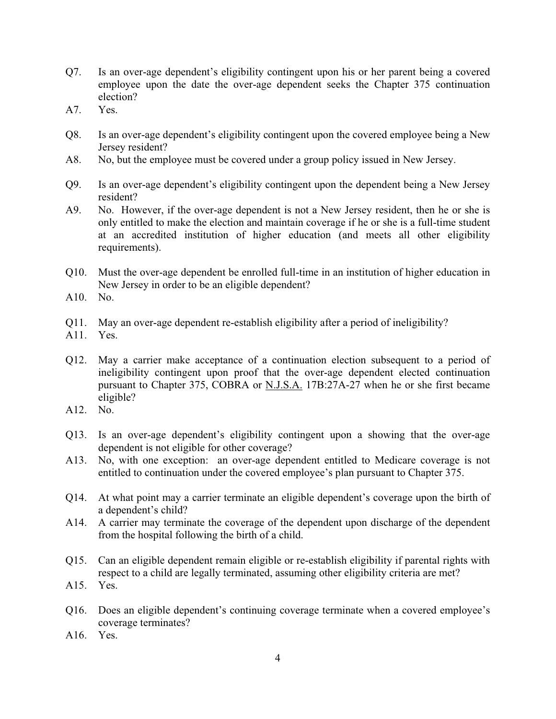- Q7. Is an over-age dependent's eligibility contingent upon his or her parent being a covered employee upon the date the over-age dependent seeks the Chapter 375 continuation election?
- A7. Yes.
- Q8. Is an over-age dependent's eligibility contingent upon the covered employee being a New Jersey resident?
- A8. No, but the employee must be covered under a group policy issued in New Jersey.
- Q9. Is an over-age dependent's eligibility contingent upon the dependent being a New Jersey resident?
- A9. No. However, if the over-age dependent is not a New Jersey resident, then he or she is only entitled to make the election and maintain coverage if he or she is a full-time student at an accredited institution of higher education (and meets all other eligibility requirements).
- Q10. Must the over-age dependent be enrolled full-time in an institution of higher education in New Jersey in order to be an eligible dependent?
- A10. No.
- Q11. May an over-age dependent re-establish eligibility after a period of ineligibility?
- A11. Yes.
- Q12. May a carrier make acceptance of a continuation election subsequent to a period of ineligibility contingent upon proof that the over-age dependent elected continuation pursuant to Chapter 375, COBRA or N.J.S.A. 17B:27A-27 when he or she first became eligible?
- A12. No.
- Q13. Is an over-age dependent's eligibility contingent upon a showing that the over-age dependent is not eligible for other coverage?
- A13. No, with one exception: an over-age dependent entitled to Medicare coverage is not entitled to continuation under the covered employee's plan pursuant to Chapter 375.
- Q14. At what point may a carrier terminate an eligible dependent's coverage upon the birth of a dependent's child?
- A14. A carrier may terminate the coverage of the dependent upon discharge of the dependent from the hospital following the birth of a child.
- Q15. Can an eligible dependent remain eligible or re-establish eligibility if parental rights with respect to a child are legally terminated, assuming other eligibility criteria are met?
- A15. Yes.
- Q16. Does an eligible dependent's continuing coverage terminate when a covered employee's coverage terminates?
- A16. Yes.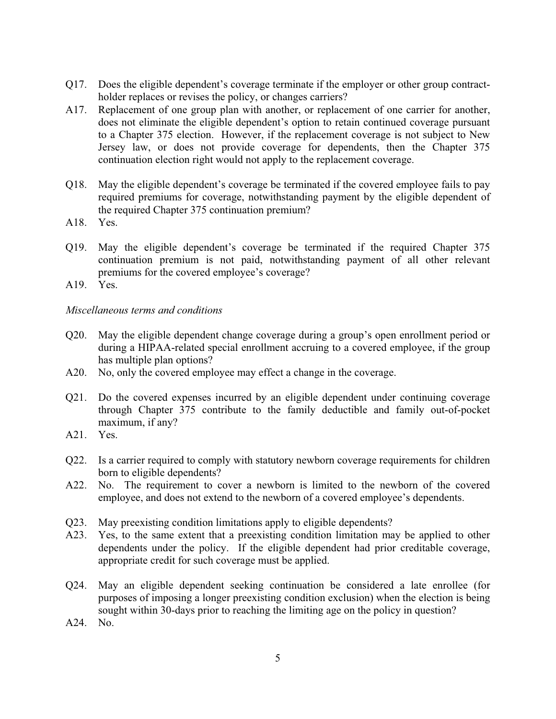- Q17. Does the eligible dependent's coverage terminate if the employer or other group contractholder replaces or revises the policy, or changes carriers?
- A17. Replacement of one group plan with another, or replacement of one carrier for another, does not eliminate the eligible dependent's option to retain continued coverage pursuant to a Chapter 375 election. However, if the replacement coverage is not subject to New Jersey law, or does not provide coverage for dependents, then the Chapter 375 continuation election right would not apply to the replacement coverage.
- Q18. May the eligible dependent's coverage be terminated if the covered employee fails to pay required premiums for coverage, notwithstanding payment by the eligible dependent of the required Chapter 375 continuation premium?
- A18. Yes.
- Q19. May the eligible dependent's coverage be terminated if the required Chapter 375 continuation premium is not paid, notwithstanding payment of all other relevant premiums for the covered employee's coverage?
- A19. Yes.

### *Miscellaneous terms and conditions*

- Q20. May the eligible dependent change coverage during a group's open enrollment period or during a HIPAA-related special enrollment accruing to a covered employee, if the group has multiple plan options?
- A20. No, only the covered employee may effect a change in the coverage.
- Q21. Do the covered expenses incurred by an eligible dependent under continuing coverage through Chapter 375 contribute to the family deductible and family out-of-pocket maximum, if any?
- A21. Yes.
- Q22. Is a carrier required to comply with statutory newborn coverage requirements for children born to eligible dependents?
- A22. No. The requirement to cover a newborn is limited to the newborn of the covered employee, and does not extend to the newborn of a covered employee's dependents.
- Q23. May preexisting condition limitations apply to eligible dependents?
- A23. Yes, to the same extent that a preexisting condition limitation may be applied to other dependents under the policy. If the eligible dependent had prior creditable coverage, appropriate credit for such coverage must be applied.
- Q24. May an eligible dependent seeking continuation be considered a late enrollee (for purposes of imposing a longer preexisting condition exclusion) when the election is being sought within 30-days prior to reaching the limiting age on the policy in question?
- A24. No.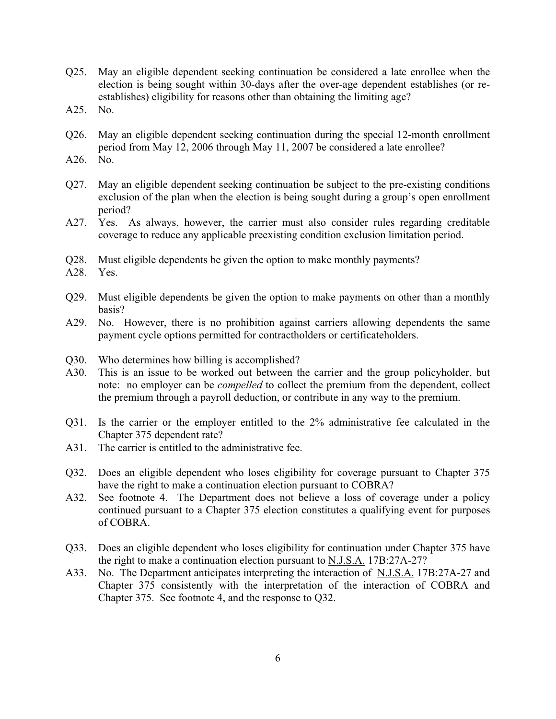- Q25. May an eligible dependent seeking continuation be considered a late enrollee when the election is being sought within 30-days after the over-age dependent establishes (or reestablishes) eligibility for reasons other than obtaining the limiting age?
- A25. No.
- Q26. May an eligible dependent seeking continuation during the special 12-month enrollment period from May 12, 2006 through May 11, 2007 be considered a late enrollee?
- A26. No.
- Q27. May an eligible dependent seeking continuation be subject to the pre-existing conditions exclusion of the plan when the election is being sought during a group's open enrollment period?
- A27. Yes. As always, however, the carrier must also consider rules regarding creditable coverage to reduce any applicable preexisting condition exclusion limitation period.
- Q28. Must eligible dependents be given the option to make monthly payments?
- A28. Yes.
- Q29. Must eligible dependents be given the option to make payments on other than a monthly basis?
- A29. No. However, there is no prohibition against carriers allowing dependents the same payment cycle options permitted for contractholders or certificateholders.
- Q30. Who determines how billing is accomplished?
- A30. This is an issue to be worked out between the carrier and the group policyholder, but note: no employer can be *compelled* to collect the premium from the dependent, collect the premium through a payroll deduction, or contribute in any way to the premium.
- Q31. Is the carrier or the employer entitled to the 2% administrative fee calculated in the Chapter 375 dependent rate?
- A31. The carrier is entitled to the administrative fee.
- Q32. Does an eligible dependent who loses eligibility for coverage pursuant to Chapter 375 have the right to make a continuation election pursuant to COBRA?
- A32. See footnote 4. The Department does not believe a loss of coverage under a policy continued pursuant to a Chapter 375 election constitutes a qualifying event for purposes of COBRA.
- Q33. Does an eligible dependent who loses eligibility for continuation under Chapter 375 have the right to make a continuation election pursuant to N.J.S.A. 17B:27A-27?
- A33. No. The Department anticipates interpreting the interaction of N.J.S.A. 17B:27A-27 and Chapter 375 consistently with the interpretation of the interaction of COBRA and Chapter 375. See footnote 4, and the response to Q32.